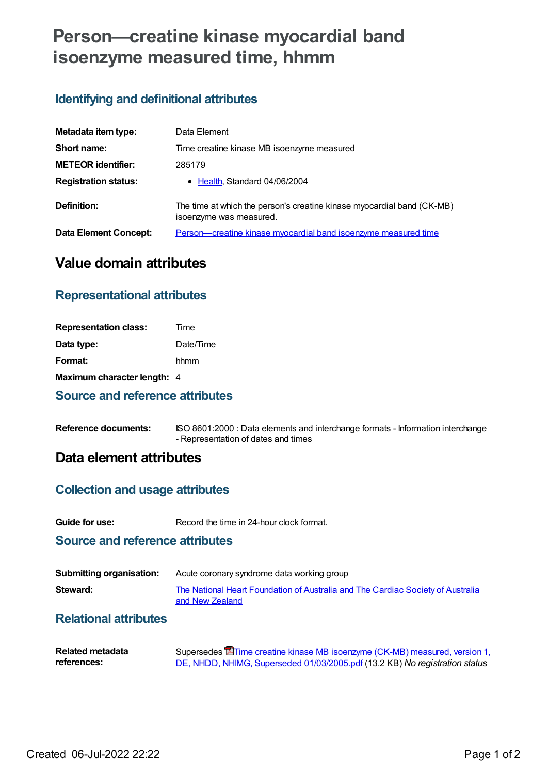# **Person—creatine kinase myocardial band isoenzyme measured time, hhmm**

# **Identifying and definitional attributes**

| Metadata item type:          | Data Element                                                                                      |  |  |  |  |
|------------------------------|---------------------------------------------------------------------------------------------------|--|--|--|--|
| Short name:                  | Time creatine kinase MB isoenzyme measured                                                        |  |  |  |  |
| <b>METEOR identifier:</b>    | 285179                                                                                            |  |  |  |  |
| <b>Registration status:</b>  | • Health, Standard 04/06/2004                                                                     |  |  |  |  |
| Definition:                  | The time at which the person's creatine kinase myocardial band (CK-MB)<br>isoenzyme was measured. |  |  |  |  |
| <b>Data Element Concept:</b> | Person-creatine kinase myocardial band isoenzyme measured time                                    |  |  |  |  |

# **Value domain attributes**

# **Representational attributes**

| <b>Representation class:</b>       | Time      |
|------------------------------------|-----------|
| Data type:                         | Date/Time |
| Format:                            | hhmm      |
| <b>Maximum character length: 4</b> |           |

#### **Source and reference attributes**

**Reference documents:** ISO 8601:2000 : Data elements and interchange formats - Information interchange - Representation of dates and times

# **Data element attributes**

## **Collection and usage attributes**

**Guide for use:** Record the time in 24-hour clock format.

## **Source and reference attributes**

| <b>Submitting organisation:</b> | Acute coronary syndrome data working group                                                         |  |  |  |
|---------------------------------|----------------------------------------------------------------------------------------------------|--|--|--|
| Steward:                        | The National Heart Foundation of Australia and The Cardiac Society of Australia<br>and New Zealand |  |  |  |

## **Relational attributes**

| Related metadata | Supersedes <b>E</b> Time creatine kinase MB isoenzyme (CK-MB) measured, version 1, |  |  |  |
|------------------|------------------------------------------------------------------------------------|--|--|--|
| references:      | DE, NHDD, NHIMG, Superseded 01/03/2005.pdf (13.2 KB) No registration status        |  |  |  |